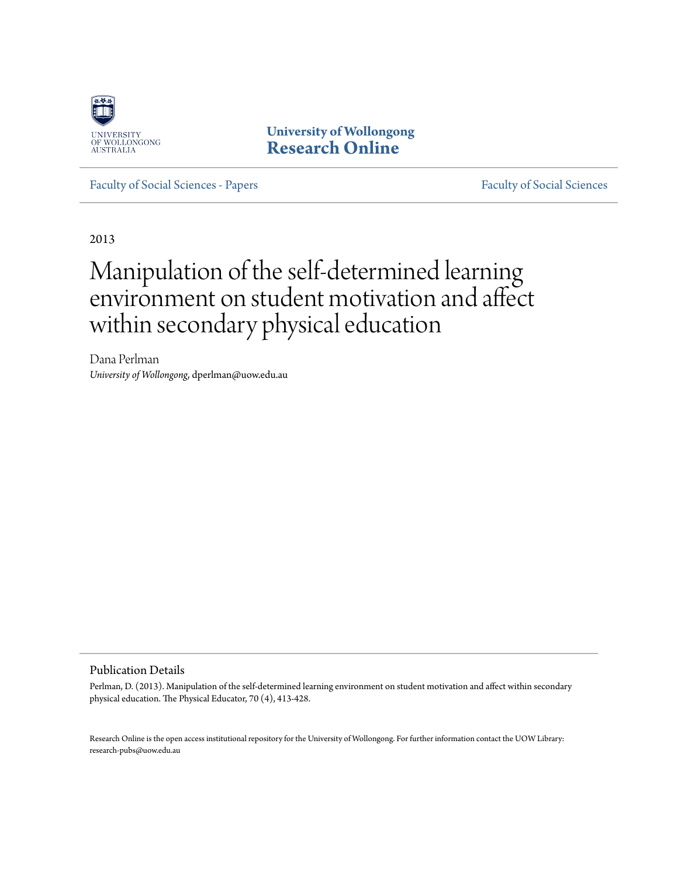

**University of Wollongong [Research Online](http://ro.uow.edu.au)**

[Faculty of Social Sciences - Papers](http://ro.uow.edu.au/sspapers) [Faculty of Social Sciences](http://ro.uow.edu.au/ss)

2013

# Manipulation of the self-determined learning environment on student motivation and affect within secondary physical education

Dana Perlman *University of Wollongong*, dperlman@uow.edu.au

#### Publication Details

Perlman, D. (2013). Manipulation of the self-determined learning environment on student motivation and affect within secondary physical education. The Physical Educator, 70 (4), 413-428.

Research Online is the open access institutional repository for the University of Wollongong. For further information contact the UOW Library: research-pubs@uow.edu.au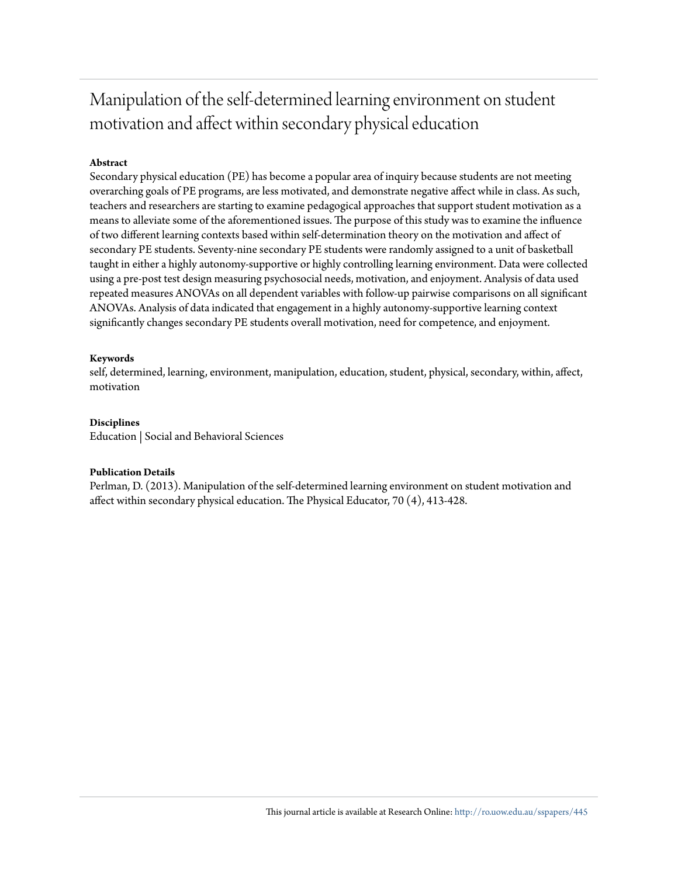# Manipulation of the self-determined learning environment on student motivation and affect within secondary physical education

#### **Abstract**

Secondary physical education (PE) has become a popular area of inquiry because students are not meeting overarching goals of PE programs, are less motivated, and demonstrate negative affect while in class. As such, teachers and researchers are starting to examine pedagogical approaches that support student motivation as a means to alleviate some of the aforementioned issues. The purpose of this study was to examine the influence of two different learning contexts based within self-determination theory on the motivation and affect of secondary PE students. Seventy-nine secondary PE students were randomly assigned to a unit of basketball taught in either a highly autonomy-supportive or highly controlling learning environment. Data were collected using a pre-post test design measuring psychosocial needs, motivation, and enjoyment. Analysis of data used repeated measures ANOVAs on all dependent variables with follow-up pairwise comparisons on all significant ANOVAs. Analysis of data indicated that engagement in a highly autonomy-supportive learning context significantly changes secondary PE students overall motivation, need for competence, and enjoyment.

#### **Keywords**

self, determined, learning, environment, manipulation, education, student, physical, secondary, within, affect, motivation

#### **Disciplines**

Education | Social and Behavioral Sciences

#### **Publication Details**

Perlman, D. (2013). Manipulation of the self-determined learning environment on student motivation and affect within secondary physical education. The Physical Educator, 70 (4), 413-428.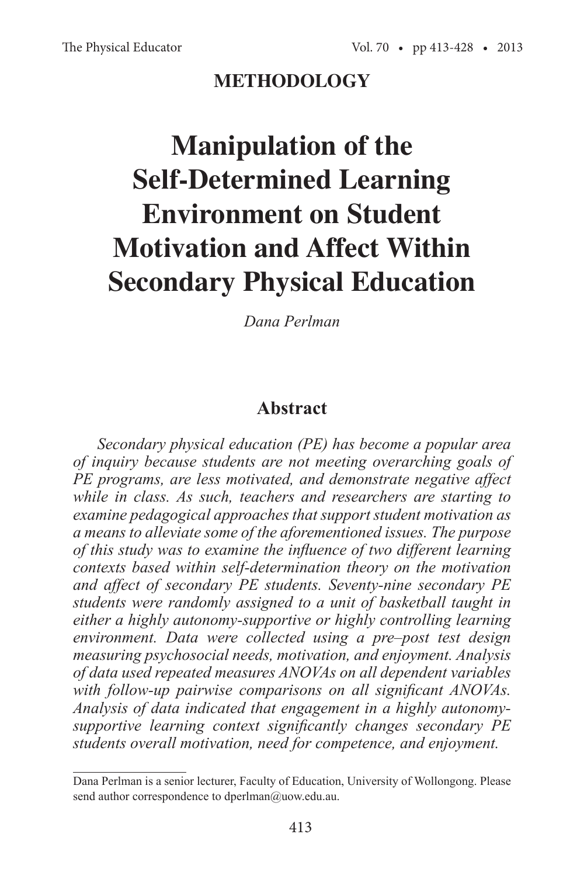# **METHODOLOGY**

# **Manipulation of the Self-Determined Learning Environment on Student Motivation and Affect Within Secondary Physical Education**

*Dana Perlman* 

## **Abstract**

*Secondary physical education (PE) has become a popular area of inquiry because students are not meeting overarching goals of PE programs, are less motivated, and demonstrate negative affect while in class. As such, teachers and researchers are starting to examine pedagogical approaches that support student motivation as a means to alleviate some of the aforementioned issues. The purpose of this study was to examine the influence of two different learning contexts based within self-determination theory on the motivation and affect of secondary PE students. Seventy-nine secondary PE students were randomly assigned to a unit of basketball taught in either a highly autonomy-supportive or highly controlling learning environment. Data were collected using a pre–post test design measuring psychosocial needs, motivation, and enjoyment. Analysis of data used repeated measures ANOVAs on all dependent variables with follow-up pairwise comparisons on all significant ANOVAs. Analysis of data indicated that engagement in a highly autonomysupportive learning context significantly changes secondary PE students overall motivation, need for competence, and enjoyment.* 

Dana Perlman is a senior lecturer, Faculty of Education, University of Wollongong. Please send author correspondence to dperlman@uow.edu.au.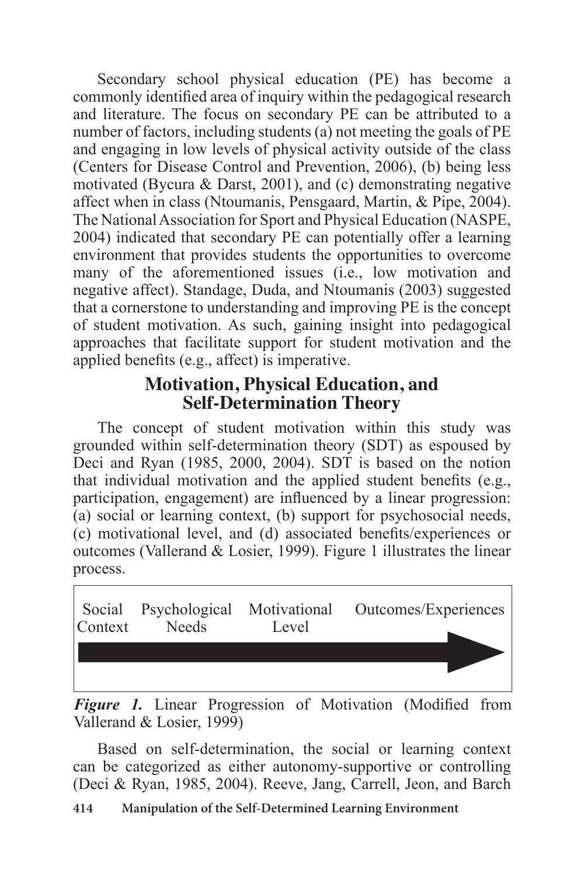Secondary school physical education (PE) has become a commonly identified area of inquiry within the pedagogical research and literature. The focus on secondary PE can be attributed to a number of factors, including students (a) not meeting the goals of PE and engaging in low levels of physical activity outside of the class (Centers for Disease Control and Prevention, 2006), (b) being less motivated (Bycura & Darst, 2001), and (c) demonstrating negative affect when in class (Ntoumanis, Pensgaard, Martin, & Pipe, 2004). The National Association for Sport and Physical Education (NASPE, 2004) indicated that secondary PE can potentially offer a learning environment that provides students the opportunities to overcome many of the aforementioned issues (i.e., low motivation and negative affect). Standage, Duda, and Ntoumanis (2003) suggested that a cornerstone to understanding and improving PE is the concept of student motivation. As such, gaining insight into pedagogical approaches that facilitate support for student motivation and the applied benefits (e.g., affect) is imperative.

# **Motivation, Physical Education, and Self-Determination Theory**

The concept of student motivation within this study was grounded within self-determination theory (SDT) as espoused by Deci and Ryan (1985, 2000, 2004). SDT is based on the notion that individual motivation and the applied student benefits (e.g., participation, engagement) are influenced by a linear progression: (a) social or learning context, (b) support for psychosocial needs, (c) motivational level, and (d) associated benefits/experiences or outcomes (Vallerand & Losier, 1999). Figure 1 illustrates the linear process.



*Figure 1.* Linear Progression of Motivation (Modified from Vallerand & Losier, 1999)

Based on self-determination, the social or learning context can be categorized as either autonomy-supportive or controlling (Deci & Ryan, 1985, 2004). Reeve, Jang, Carrell, Jeon, and Barch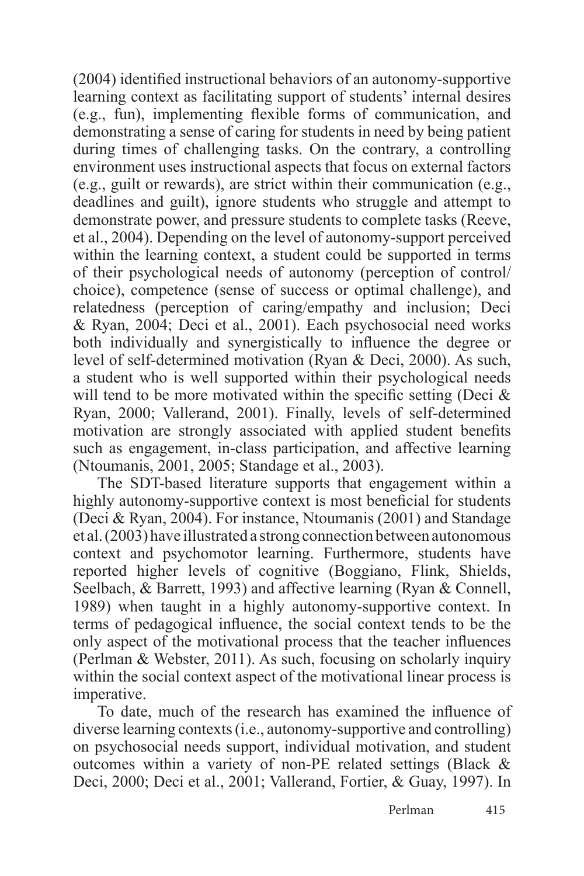(2004) identified instructional behaviors of an autonomy-supportive learning context as facilitating support of students' internal desires (e.g., fun), implementing flexible forms of communication, and demonstrating a sense of caring for students in need by being patient during times of challenging tasks. On the contrary, a controlling environment uses instructional aspects that focus on external factors (e.g., guilt or rewards), are strict within their communication (e.g., deadlines and guilt), ignore students who struggle and attempt to demonstrate power, and pressure students to complete tasks (Reeve, et al., 2004). Depending on the level of autonomy-support perceived within the learning context, a student could be supported in terms of their psychological needs of autonomy (perception of control/ choice), competence (sense of success or optimal challenge), and relatedness (perception of caring/empathy and inclusion; Deci & Ryan, 2004; Deci et al., 2001). Each psychosocial need works both individually and synergistically to influence the degree or level of self-determined motivation (Ryan & Deci, 2000). As such, a student who is well supported within their psychological needs will tend to be more motivated within the specific setting (Deci  $\&$ Ryan, 2000; Vallerand, 2001). Finally, levels of self-determined motivation are strongly associated with applied student benefits such as engagement, in-class participation, and affective learning (Ntoumanis, 2001, 2005; Standage et al., 2003).

The SDT-based literature supports that engagement within a highly autonomy-supportive context is most beneficial for students (Deci & Ryan, 2004). For instance, Ntoumanis (2001) and Standage et al. (2003) have illustrated a strong connection between autonomous context and psychomotor learning. Furthermore, students have reported higher levels of cognitive (Boggiano, Flink, Shields, Seelbach, & Barrett, 1993) and affective learning (Ryan & Connell, 1989) when taught in a highly autonomy-supportive context. In terms of pedagogical influence, the social context tends to be the only aspect of the motivational process that the teacher influences (Perlman & Webster, 2011). As such, focusing on scholarly inquiry within the social context aspect of the motivational linear process is imperative.

To date, much of the research has examined the influence of diverse learning contexts (i.e., autonomy-supportive and controlling) on psychosocial needs support, individual motivation, and student outcomes within a variety of non-PE related settings (Black & Deci, 2000; Deci et al., 2001; Vallerand, Fortier, & Guay, 1997). In

Perlman 415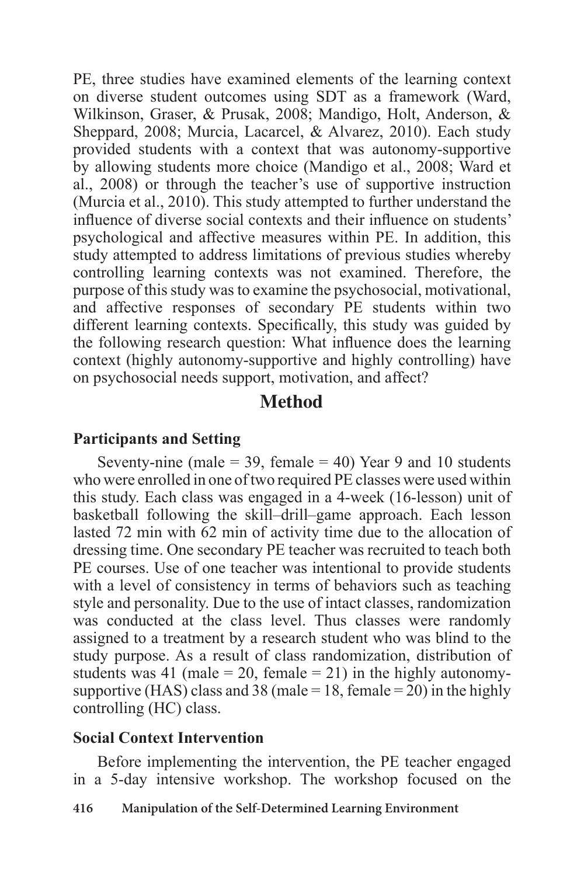PE, three studies have examined elements of the learning context on diverse student outcomes using SDT as a framework (Ward, Wilkinson, Graser, & Prusak, 2008; Mandigo, Holt, Anderson, & Sheppard, 2008; Murcia, Lacarcel, & Alvarez, 2010). Each study provided students with a context that was autonomy-supportive by allowing students more choice (Mandigo et al., 2008; Ward et al., 2008) or through the teacher's use of supportive instruction (Murcia et al., 2010). This study attempted to further understand the influence of diverse social contexts and their influence on students' psychological and affective measures within PE. In addition, this study attempted to address limitations of previous studies whereby controlling learning contexts was not examined. Therefore, the purpose of this study was to examine the psychosocial, motivational, and affective responses of secondary PE students within two different learning contexts. Specifically, this study was guided by the following research question: What influence does the learning context (highly autonomy-supportive and highly controlling) have on psychosocial needs support, motivation, and affect?

# **Method**

#### **Participants and Setting**

Seventy-nine (male  $=$  39, female  $=$  40) Year 9 and 10 students who were enrolled in one of two required PE classes were used within this study. Each class was engaged in a 4-week (16-lesson) unit of basketball following the skill–drill–game approach. Each lesson lasted 72 min with 62 min of activity time due to the allocation of dressing time. One secondary PE teacher was recruited to teach both PE courses. Use of one teacher was intentional to provide students with a level of consistency in terms of behaviors such as teaching style and personality. Due to the use of intact classes, randomization was conducted at the class level. Thus classes were randomly assigned to a treatment by a research student who was blind to the study purpose. As a result of class randomization, distribution of students was 41 (male  $= 20$ , female  $= 21$ ) in the highly autonomysupportive (HAS) class and 38 (male = 18, female = 20) in the highly controlling (HC) class.

#### **Social Context Intervention**

Before implementing the intervention, the PE teacher engaged in a 5-day intensive workshop. The workshop focused on the

#### **416 Manipulation of the Self-Determined Learning Environment**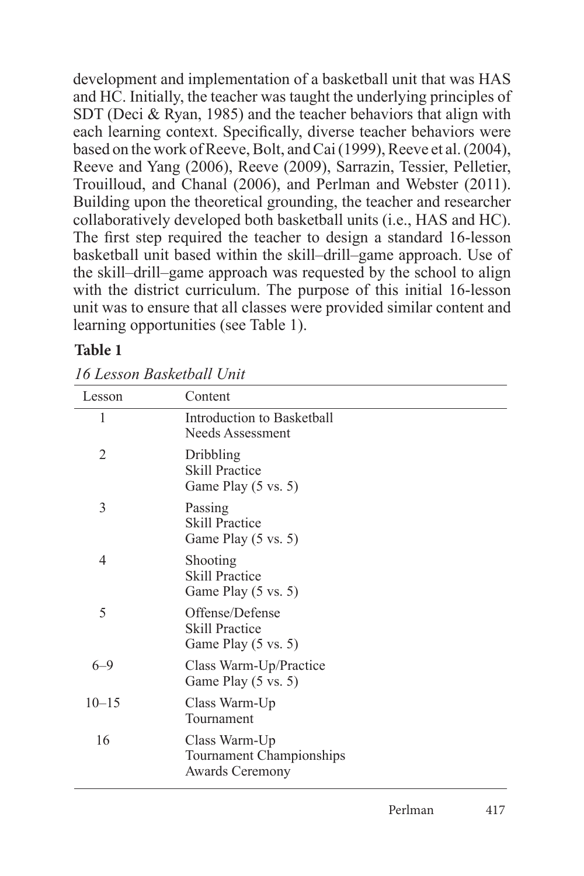development and implementation of a basketball unit that was HAS and HC. Initially, the teacher was taught the underlying principles of SDT (Deci & Ryan, 1985) and the teacher behaviors that align with each learning context. Specifically, diverse teacher behaviors were based on the work of Reeve, Bolt, and Cai (1999), Reeve et al. (2004), Reeve and Yang (2006), Reeve (2009), Sarrazin, Tessier, Pelletier, Trouilloud, and Chanal (2006), and Perlman and Webster (2011). Building upon the theoretical grounding, the teacher and researcher collaboratively developed both basketball units (i.e., HAS and HC). The first step required the teacher to design a standard 16-lesson basketball unit based within the skill–drill–game approach. Use of the skill–drill–game approach was requested by the school to align with the district curriculum. The purpose of this initial 16-lesson unit was to ensure that all classes were provided similar content and learning opportunities (see Table 1).

# **Table 1**

|  | 16 Lesson Basketball Unit |
|--|---------------------------|
|--|---------------------------|

| Lesson         | Content                                                             |
|----------------|---------------------------------------------------------------------|
| 1              | Introduction to Basketball<br>Needs Assessment                      |
| $\overline{2}$ | Dribbling<br><b>Skill Practice</b><br>Game Play (5 vs. 5)           |
| 3              | Passing<br><b>Skill Practice</b><br>Game Play (5 vs. 5)             |
| 4              | Shooting<br><b>Skill Practice</b><br>Game Play (5 vs. 5)            |
| 5              | Offense/Defense<br><b>Skill Practice</b><br>Game Play (5 vs. 5)     |
| $6 - 9$        | Class Warm-Up/Practice<br>Game Play (5 vs. 5)                       |
| $10 - 15$      | Class Warm-Up<br>Tournament                                         |
| 16             | Class Warm-Up<br>Tournament Championships<br><b>Awards Ceremony</b> |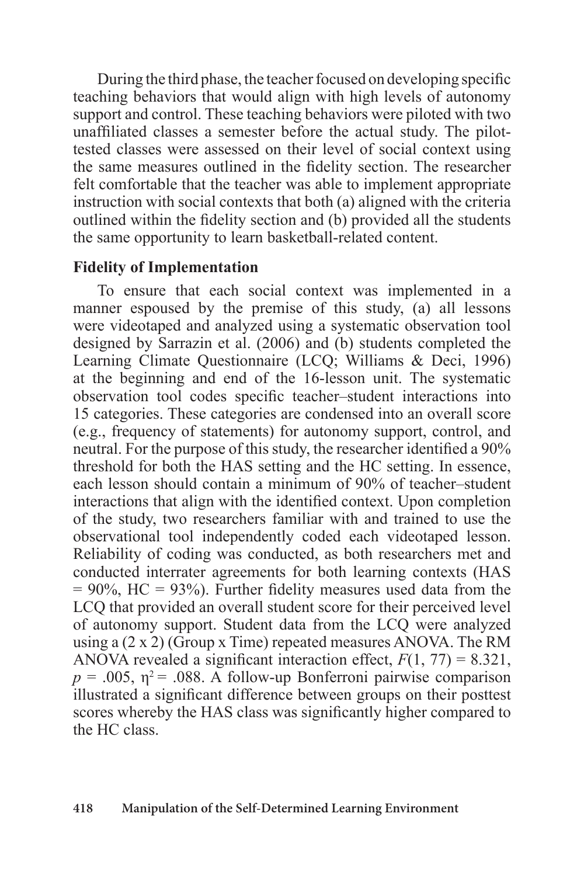During the third phase, the teacher focused on developing specific teaching behaviors that would align with high levels of autonomy support and control. These teaching behaviors were piloted with two unaffiliated classes a semester before the actual study. The pilottested classes were assessed on their level of social context using the same measures outlined in the fidelity section. The researcher felt comfortable that the teacher was able to implement appropriate instruction with social contexts that both (a) aligned with the criteria outlined within the fidelity section and (b) provided all the students the same opportunity to learn basketball-related content.

### **Fidelity of Implementation**

To ensure that each social context was implemented in a manner espoused by the premise of this study, (a) all lessons were videotaped and analyzed using a systematic observation tool designed by Sarrazin et al. (2006) and (b) students completed the Learning Climate Questionnaire (LCQ; Williams & Deci, 1996) at the beginning and end of the 16-lesson unit. The systematic observation tool codes specific teacher–student interactions into 15 categories. These categories are condensed into an overall score (e.g., frequency of statements) for autonomy support, control, and neutral. For the purpose of this study, the researcher identified a 90% threshold for both the HAS setting and the HC setting. In essence, each lesson should contain a minimum of 90% of teacher–student interactions that align with the identified context. Upon completion of the study, two researchers familiar with and trained to use the observational tool independently coded each videotaped lesson. Reliability of coding was conducted, as both researchers met and conducted interrater agreements for both learning contexts (HAS  $= 90\%$ , HC = 93%). Further fidelity measures used data from the LCQ that provided an overall student score for their perceived level of autonomy support. Student data from the LCQ were analyzed using a (2 x 2) (Group x Time) repeated measures ANOVA. The RM ANOVA revealed a significant interaction effect,  $F(1, 77) = 8.321$ ,  $p = .005$ ,  $\eta^2 = .088$ . A follow-up Bonferroni pairwise comparison illustrated a significant difference between groups on their posttest scores whereby the HAS class was significantly higher compared to the HC class.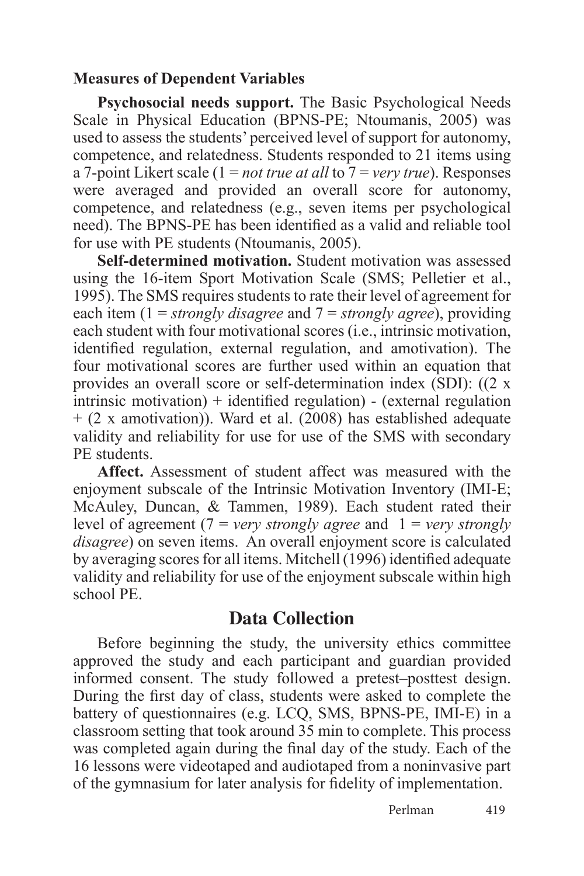#### **Measures of Dependent Variables**

**Psychosocial needs support.** The Basic Psychological Needs Scale in Physical Education (BPNS-PE; Ntoumanis, 2005) was used to assess the students' perceived level of support for autonomy, competence, and relatedness. Students responded to 21 items using a 7-point Likert scale (1 = *not true at all* to 7 = *very true*). Responses were averaged and provided an overall score for autonomy, competence, and relatedness (e.g., seven items per psychological need). The BPNS-PE has been identified as a valid and reliable tool for use with PE students (Ntoumanis, 2005).

**Self-determined motivation.** Student motivation was assessed using the 16-item Sport Motivation Scale (SMS; Pelletier et al., 1995). The SMS requires students to rate their level of agreement for each item (1 = *strongly disagree* and 7 = *strongly agree*), providing each student with four motivational scores (i.e., intrinsic motivation, identified regulation, external regulation, and amotivation). The four motivational scores are further used within an equation that provides an overall score or self-determination index (SDI): ((2 x intrinsic motivation) + identified regulation) - (external regulation + (2 x amotivation)). Ward et al. (2008) has established adequate validity and reliability for use for use of the SMS with secondary PE students.

**Affect.** Assessment of student affect was measured with the enjoyment subscale of the Intrinsic Motivation Inventory (IMI-E; McAuley, Duncan, & Tammen, 1989). Each student rated their level of agreement (7 = *very strongly agree* and 1 = *very strongly disagree*) on seven items. An overall enjoyment score is calculated by averaging scores for all items. Mitchell (1996) identified adequate validity and reliability for use of the enjoyment subscale within high school PE.

# **Data Collection**

Before beginning the study, the university ethics committee approved the study and each participant and guardian provided informed consent. The study followed a pretest–posttest design. During the first day of class, students were asked to complete the battery of questionnaires (e.g. LCQ, SMS, BPNS-PE, IMI-E) in a classroom setting that took around 35 min to complete. This process was completed again during the final day of the study. Each of the 16 lessons were videotaped and audiotaped from a noninvasive part of the gymnasium for later analysis for fidelity of implementation.

Perlman 419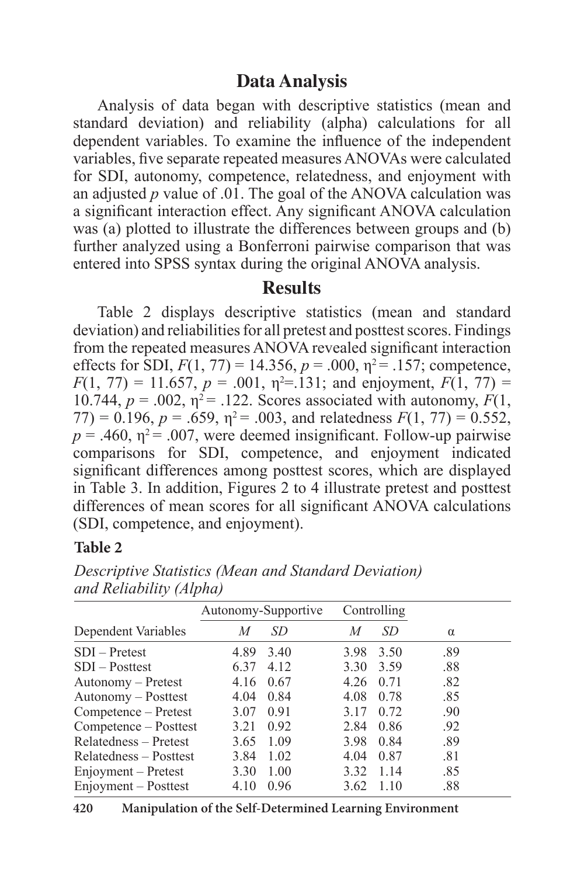# **Data Analysis**

Analysis of data began with descriptive statistics (mean and standard deviation) and reliability (alpha) calculations for all dependent variables. To examine the influence of the independent variables, five separate repeated measures ANOVAs were calculated for SDI, autonomy, competence, relatedness, and enjoyment with an adjusted *p* value of .01. The goal of the ANOVA calculation was a significant interaction effect. Any significant ANOVA calculation was (a) plotted to illustrate the differences between groups and (b) further analyzed using a Bonferroni pairwise comparison that was entered into SPSS syntax during the original ANOVA analysis.

#### **Results**

Table 2 displays descriptive statistics (mean and standard deviation) and reliabilities for all pretest and posttest scores. Findings from the repeated measures ANOVA revealed significant interaction effects for SDI,  $F(1, 77) = 14.356$ ,  $p = .000$ ,  $\eta^2 = .157$ ; competence,  $F(1, 77) = 11.657$ ,  $p = .001$ ,  $p^2 = .131$ ; and enjoyment,  $F(1, 77) =$ 10.744,  $p = .002$ ,  $\eta^2 = .122$ . Scores associated with autonomy,  $F(1)$ ,  $77$ ) = 0.196,  $p = .659$ ,  $\eta^2 = .003$ , and relatedness  $F(1, 77) = 0.552$ ,  $p = .460$ ,  $\eta^2 = .007$ , were deemed insignificant. Follow-up pairwise comparisons for SDI, competence, and enjoyment indicated significant differences among posttest scores, which are displayed in Table 3. In addition, Figures 2 to 4 illustrate pretest and posttest differences of mean scores for all significant ANOVA calculations (SDI, competence, and enjoyment).

#### **Table 2**

|                        | Autonomy-Supportive |       |      | Controlling |          |
|------------------------|---------------------|-------|------|-------------|----------|
| Dependent Variables    | M                   | SD    | M    | SD          | $\alpha$ |
| SDI – Pretest          | 4.89                | 3.40  | 3.98 | 3.50        | .89      |
| SDI – Posttest         | 6.37                | 4 1 2 | 3.30 | 3.59        | .88      |
| Autonomy - Pretest     | 4.16                | 0.67  | 4.26 | 0.71        | .82      |
| Autonomy – Posttest    | 4.04                | 0.84  | 4.08 | 0.78        | .85      |
| Competence – Pretest   | 3.07                | 0.91  | 3.17 | 0.72        | .90      |
| Competence – Posttest  | 3.21                | 0.92  | 2.84 | 0.86        | .92      |
| Relatedness – Pretest  | 3.65                | 1.09  | 3.98 | 0.84        | .89      |
| Relatedness – Posttest | 3.84                | 1.02  | 4.04 | 0.87        | .81      |
| Enjoyment – Pretest    | 3.30                | 1.00  | 3.32 | 1 1 4       | .85      |
| Enjoyment – Posttest   | 4.10                | 0.96  | 3.62 | 1.10        | .88      |

*Descriptive Statistics (Mean and Standard Deviation) and Reliability (Alpha)*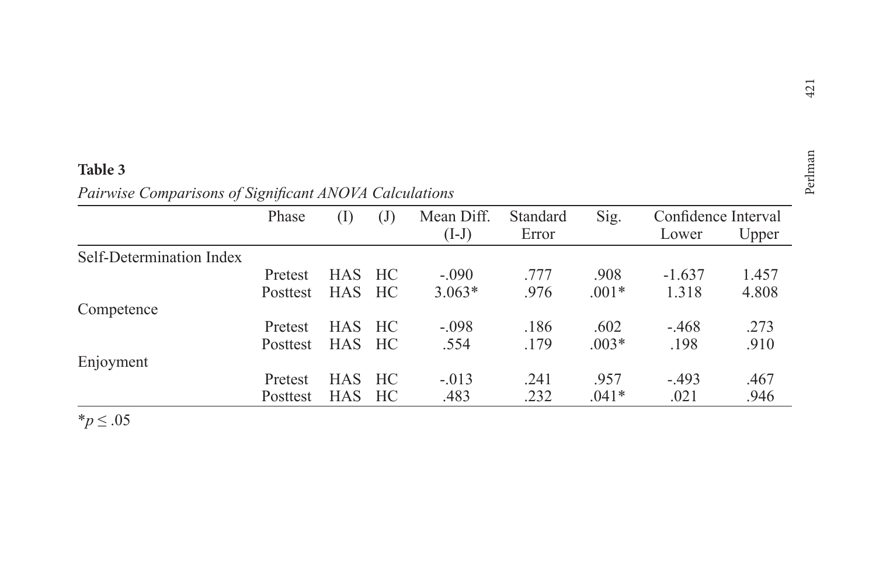|                                                        | $\overline{\phantom{0}}$<br>42 |
|--------------------------------------------------------|--------------------------------|
|                                                        |                                |
| Table 3                                                | an                             |
| Pairwise Comparisons of Significant ANOVA Calculations | Perl                           |

|                          | Phase    | (I)        | $\mathrm{(J)}$ | Mean Diff. | Standard | Sig.    | Confidence Interval |       |
|--------------------------|----------|------------|----------------|------------|----------|---------|---------------------|-------|
|                          |          |            |                | $(I-J)$    | Error    |         | Lower               | Upper |
| Self-Determination Index |          |            |                |            |          |         |                     |       |
|                          | Pretest  | <b>HAS</b> | HC             | $-.090$    | .777     | .908    | $-1.637$            | 1.457 |
|                          | Posttest | <b>HAS</b> | HC             | $3.063*$   | .976     | $.001*$ | 1.318               | 4.808 |
| Competence               |          |            |                |            |          |         |                     |       |
|                          | Pretest  | <b>HAS</b> | HC             | $-.098$    | .186     | .602    | $-.468$             | .273  |
|                          | Posttest | <b>HAS</b> | HC             | .554       | .179     | $.003*$ | .198                | .910  |
| Enjoyment                |          |            |                |            |          |         |                     |       |
|                          | Pretest  | <b>HAS</b> | HC             | $-.013$    | .241     | .957    | $-493$              | .467  |
|                          | Posttest | <b>HAS</b> | HC             | .483       | .232     | $.041*$ | .021                | .946  |

\**p* ≤ .05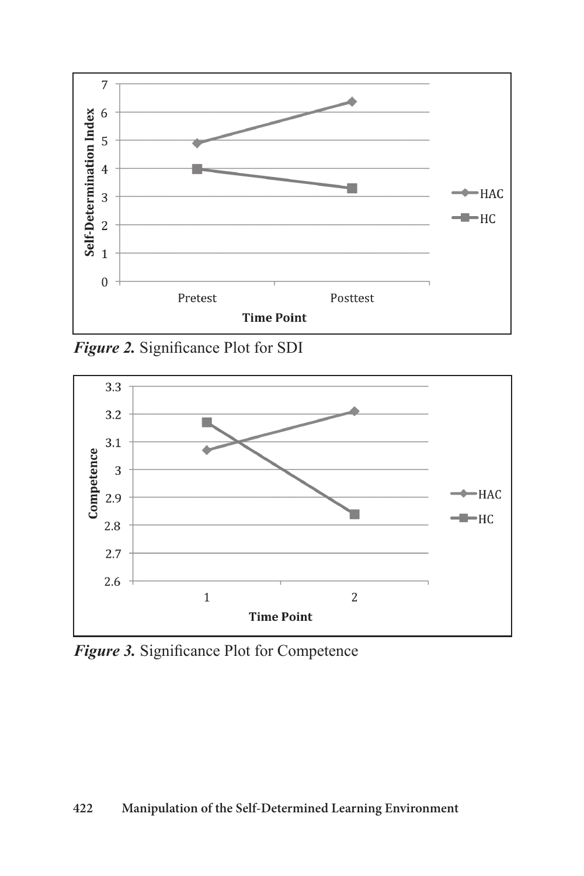

*Figure 2.* Significance Plot for SDI



*Figure 3.* Significance Plot for Competence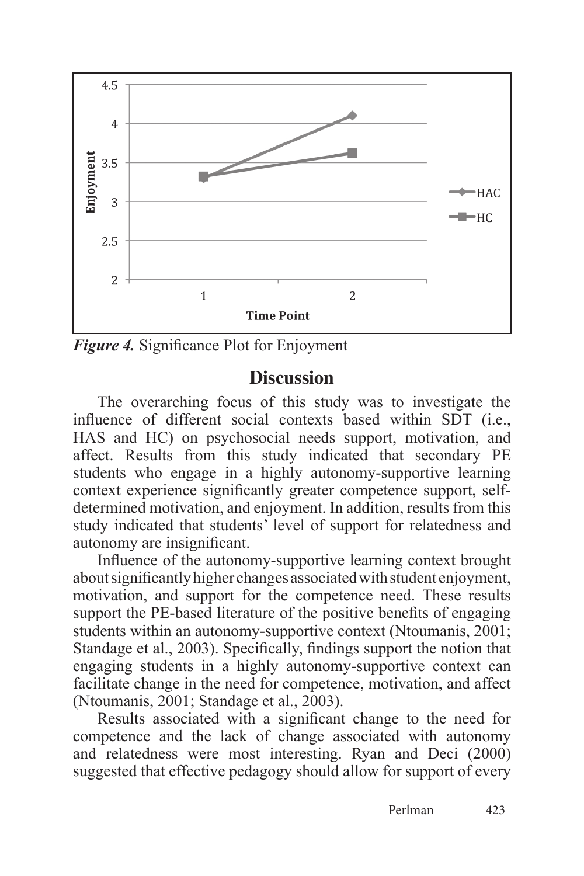

*Figure 4.* Significance Plot for Enjoyment

#### **Discussion**

The overarching focus of this study was to investigate the influence of different social contexts based within SDT (i.e., HAS and HC) on psychosocial needs support, motivation, and affect. Results from this study indicated that secondary PE students who engage in a highly autonomy-supportive learning context experience significantly greater competence support, selfdetermined motivation, and enjoyment. In addition, results from this study indicated that students' level of support for relatedness and autonomy are insignificant.

Influence of the autonomy-supportive learning context brought about significantly higher changes associated with student enjoyment, motivation, and support for the competence need. These results support the PE-based literature of the positive benefits of engaging students within an autonomy-supportive context (Ntoumanis, 2001; Standage et al., 2003). Specifically, findings support the notion that engaging students in a highly autonomy-supportive context can facilitate change in the need for competence, motivation, and affect (Ntoumanis, 2001; Standage et al., 2003).

Results associated with a significant change to the need for competence and the lack of change associated with autonomy and relatedness were most interesting. Ryan and Deci (2000) suggested that effective pedagogy should allow for support of every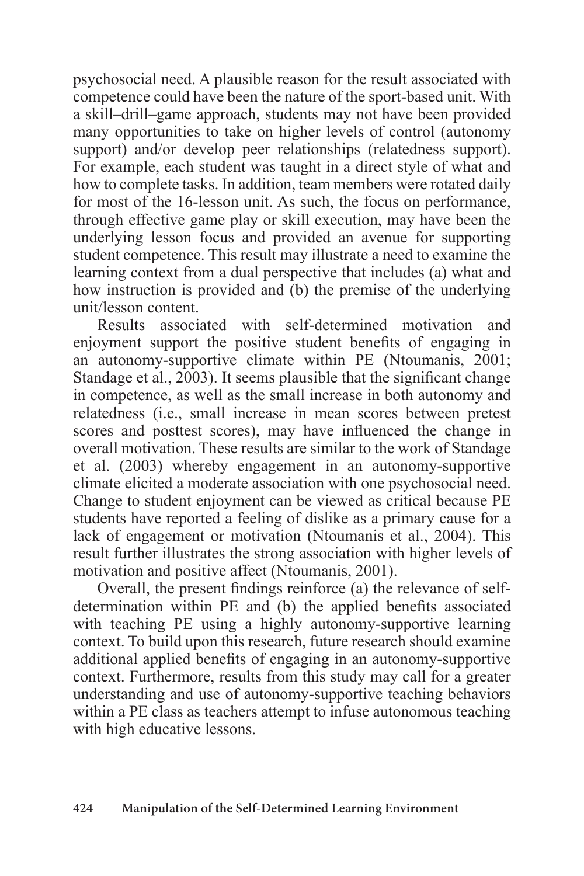psychosocial need. A plausible reason for the result associated with competence could have been the nature of the sport-based unit. With a skill–drill–game approach, students may not have been provided many opportunities to take on higher levels of control (autonomy support) and/or develop peer relationships (relatedness support). For example, each student was taught in a direct style of what and how to complete tasks. In addition, team members were rotated daily for most of the 16-lesson unit. As such, the focus on performance, through effective game play or skill execution, may have been the underlying lesson focus and provided an avenue for supporting student competence. This result may illustrate a need to examine the learning context from a dual perspective that includes (a) what and how instruction is provided and (b) the premise of the underlying unit/lesson content.

Results associated with self-determined motivation and enjoyment support the positive student benefits of engaging in an autonomy-supportive climate within PE (Ntoumanis, 2001; Standage et al., 2003). It seems plausible that the significant change in competence, as well as the small increase in both autonomy and relatedness (i.e., small increase in mean scores between pretest scores and posttest scores), may have influenced the change in overall motivation. These results are similar to the work of Standage et al. (2003) whereby engagement in an autonomy-supportive climate elicited a moderate association with one psychosocial need. Change to student enjoyment can be viewed as critical because PE students have reported a feeling of dislike as a primary cause for a lack of engagement or motivation (Ntoumanis et al., 2004). This result further illustrates the strong association with higher levels of motivation and positive affect (Ntoumanis, 2001).

Overall, the present findings reinforce (a) the relevance of selfdetermination within PE and (b) the applied benefits associated with teaching PE using a highly autonomy-supportive learning context. To build upon this research, future research should examine additional applied benefits of engaging in an autonomy-supportive context. Furthermore, results from this study may call for a greater understanding and use of autonomy-supportive teaching behaviors within a PE class as teachers attempt to infuse autonomous teaching with high educative lessons.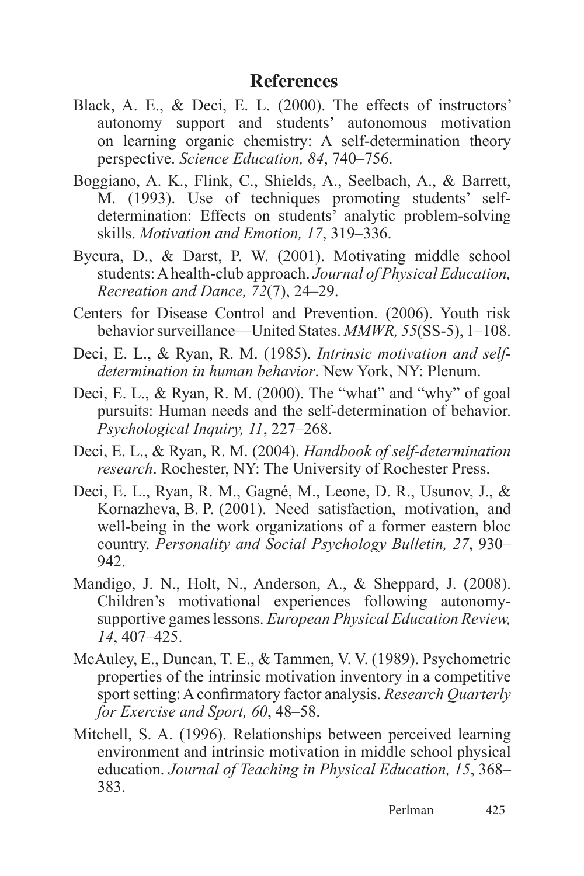## **References**

- Black, A. E., & Deci, E. L. (2000). The effects of instructors' autonomy support and students' autonomous motivation on learning organic chemistry: A self-determination theory perspective. *Science Education, 84*, 740–756.
- Boggiano, A. K., Flink, C., Shields, A., Seelbach, A., & Barrett, M. (1993). Use of techniques promoting students' selfdetermination: Effects on students' analytic problem-solving skills. *Motivation and Emotion, 17*, 319–336.
- Bycura, D., & Darst, P. W. (2001). Motivating middle school students: A health-club approach. *Journal of Physical Education, Recreation and Dance, 72*(7), 24–29.
- Centers for Disease Control and Prevention. (2006). Youth risk behavior surveillance—United States. *MMWR, 55*(SS-5), 1–108.
- Deci, E. L., & Ryan, R. M. (1985). *Intrinsic motivation and selfdetermination in human behavior*. New York, NY: Plenum.
- Deci, E. L., & Ryan, R. M. (2000). The "what" and "why" of goal pursuits: Human needs and the self-determination of behavior. *Psychological Inquiry, 11*, 227–268.
- Deci, E. L., & Ryan, R. M. (2004). *Handbook of self-determination research*. Rochester, NY: The University of Rochester Press.
- Deci, E. L., Ryan, R. M., Gagné, M., Leone, D. R., Usunov, J., & Kornazheva, B. P. (2001). Need satisfaction, motivation, and well-being in the work organizations of a former eastern bloc country. *Personality and Social Psychology Bulletin, 27*, 930– 942.
- Mandigo, J. N., Holt, N., Anderson, A., & Sheppard, J. (2008). Children's motivational experiences following autonomysupportive games lessons. *European Physical Education Review, 14*, 407–425.
- McAuley, E., Duncan, T. E., & Tammen, V. V. (1989). Psychometric properties of the intrinsic motivation inventory in a competitive sport setting: A confirmatory factor analysis. *Research Quarterly for Exercise and Sport, 60*, 48–58.
- Mitchell, S. A. (1996). Relationships between perceived learning environment and intrinsic motivation in middle school physical education. *Journal of Teaching in Physical Education, 15*, 368– 383.

Perlman 425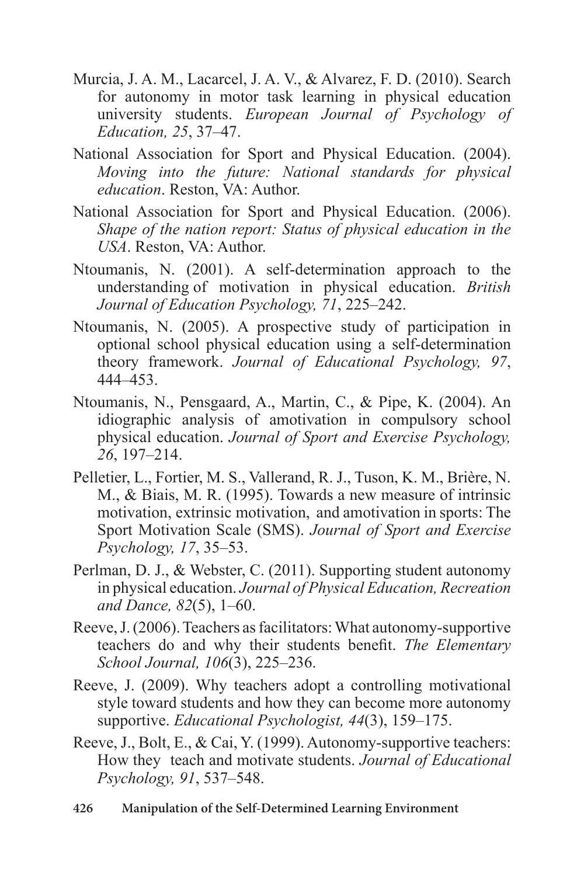- Murcia, J. A. M., Lacarcel, J. A. V., & Alvarez, F. D. (2010). Search for autonomy in motor task learning in physical education university students. *European Journal of Psychology of Education, 25*, 37–47.
- National Association for Sport and Physical Education. (2004). *Moving into the future: National standards for physical education*. Reston, VA: Author.
- National Association for Sport and Physical Education. (2006). *Shape of the nation report: Status of physical education in the USA*. Reston, VA: Author.
- Ntoumanis, N. (2001). A self-determination approach to the understanding of motivation in physical education. *British Journal of Education Psychology, 71*, 225–242.
- Ntoumanis, N. (2005). A prospective study of participation in optional school physical education using a self-determination theory framework. *Journal of Educational Psychology, 97*, 444–453.
- Ntoumanis, N., Pensgaard, A., Martin, C., & Pipe, K. (2004). An idiographic analysis of amotivation in compulsory school physical education. *Journal of Sport and Exercise Psychology, 26*, 197–214.
- Pelletier, L., Fortier, M. S., Vallerand, R. J., Tuson, K. M., Brière, N. M., & Biais, M. R. (1995). Towards a new measure of intrinsic motivation, extrinsic motivation, and amotivation in sports: The Sport Motivation Scale (SMS). *Journal of Sport and Exercise Psychology, 17*, 35–53.
- Perlman, D. J., & Webster, C. (2011). Supporting student autonomy in physical education. *Journal of Physical Education, Recreation and Dance, 82*(5), 1–60.
- Reeve, J. (2006). Teachers as facilitators: What autonomy-supportive teachers do and why their students benefit. *The Elementary School Journal, 106*(3), 225–236.
- Reeve, J. (2009). Why teachers adopt a controlling motivational style toward students and how they can become more autonomy supportive. *Educational Psychologist, 44*(3), 159–175.
- Reeve, J., Bolt, E., & Cai, Y. (1999). Autonomy-supportive teachers: How they teach and motivate students. *Journal of Educational Psychology, 91*, 537–548.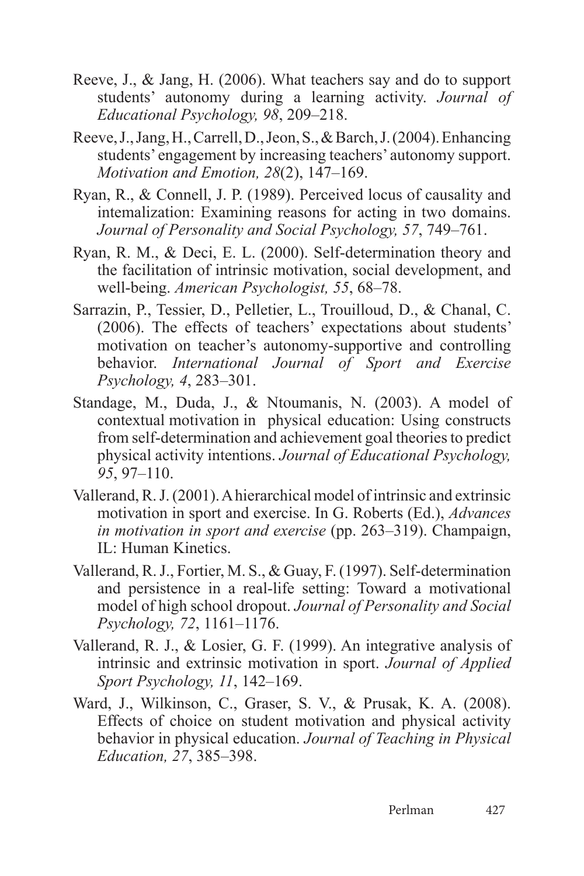- Reeve, J., & Jang, H. (2006). What teachers say and do to support students' autonomy during a learning activity. *Journal of Educational Psychology, 98*, 209–218.
- Reeve, J., Jang, H., Carrell, D., Jeon, S., & Barch, J. (2004). Enhancing students' engagement by increasing teachers' autonomy support. *Motivation and Emotion, 28*(2), 147–169.
- Ryan, R., & Connell, J. P. (1989). Perceived locus of causality and intemalization: Examining reasons for acting in two domains. *Journal of Personality and Social Psychology, 57*, 749–761.
- Ryan, R. M., & Deci, E. L. (2000). Self-determination theory and the facilitation of intrinsic motivation, social development, and well-being. *American Psychologist, 55*, 68–78.
- Sarrazin, P., Tessier, D., Pelletier, L., Trouilloud, D., & Chanal, C. (2006). The effects of teachers' expectations about students' motivation on teacher's autonomy-supportive and controlling behavior. *International Journal of Sport and Exercise Psychology, 4*, 283–301.
- Standage, M., Duda, J., & Ntoumanis, N. (2003). A model of contextual motivation in physical education: Using constructs from self-determination and achievement goal theories to predict physical activity intentions. *Journal of Educational Psychology, 95*, 97–110.
- Vallerand, R. J. (2001). A hierarchical model of intrinsic and extrinsic motivation in sport and exercise. In G. Roberts (Ed.), *Advances in motivation in sport and exercise* (pp. 263–319). Champaign, IL: Human Kinetics.
- Vallerand, R. J., Fortier, M. S., & Guay, F. (1997). Self-determination and persistence in a real-life setting: Toward a motivational model of high school dropout. *Journal of Personality and Social Psychology, 72*, 1161–1176.
- Vallerand, R. J., & Losier, G. F. (1999). An integrative analysis of intrinsic and extrinsic motivation in sport. *Journal of Applied Sport Psychology, 11*, 142–169.
- Ward, J., Wilkinson, C., Graser, S. V., & Prusak, K. A. (2008). Effects of choice on student motivation and physical activity behavior in physical education. *Journal of Teaching in Physical Education, 27*, 385–398.